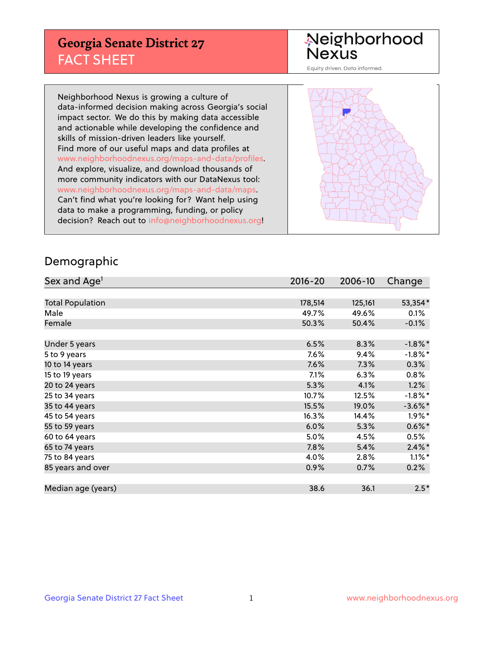## **Georgia Senate District 27** FACT SHEET

# Neighborhood<br>Nexus

Equity driven. Data informed.

Neighborhood Nexus is growing a culture of data-informed decision making across Georgia's social impact sector. We do this by making data accessible and actionable while developing the confidence and skills of mission-driven leaders like yourself. Find more of our useful maps and data profiles at www.neighborhoodnexus.org/maps-and-data/profiles. And explore, visualize, and download thousands of more community indicators with our DataNexus tool: www.neighborhoodnexus.org/maps-and-data/maps. Can't find what you're looking for? Want help using data to make a programming, funding, or policy decision? Reach out to [info@neighborhoodnexus.org!](mailto:info@neighborhoodnexus.org)



### Demographic

| Sex and Age <sup>1</sup> | $2016 - 20$ | 2006-10 | Change     |
|--------------------------|-------------|---------|------------|
|                          |             |         |            |
| <b>Total Population</b>  | 178,514     | 125,161 | 53,354*    |
| Male                     | 49.7%       | 49.6%   | 0.1%       |
| Female                   | 50.3%       | 50.4%   | $-0.1\%$   |
|                          |             |         |            |
| Under 5 years            | 6.5%        | 8.3%    | $-1.8\%$ * |
| 5 to 9 years             | 7.6%        | 9.4%    | $-1.8\%$ * |
| 10 to 14 years           | 7.6%        | 7.3%    | 0.3%       |
| 15 to 19 years           | 7.1%        | 6.3%    | 0.8%       |
| 20 to 24 years           | 5.3%        | 4.1%    | 1.2%       |
| 25 to 34 years           | 10.7%       | 12.5%   | $-1.8\%$ * |
| 35 to 44 years           | 15.5%       | 19.0%   | $-3.6\%$ * |
| 45 to 54 years           | 16.3%       | 14.4%   | $1.9\%$ *  |
| 55 to 59 years           | 6.0%        | 5.3%    | $0.6\%$ *  |
| 60 to 64 years           | 5.0%        | 4.5%    | 0.5%       |
| 65 to 74 years           | 7.8%        | 5.4%    | $2.4\%$ *  |
| 75 to 84 years           | 4.0%        | 2.8%    | $1.1\%$ *  |
| 85 years and over        | 0.9%        | 0.7%    | 0.2%       |
|                          |             |         |            |
| Median age (years)       | 38.6        | 36.1    | $2.5*$     |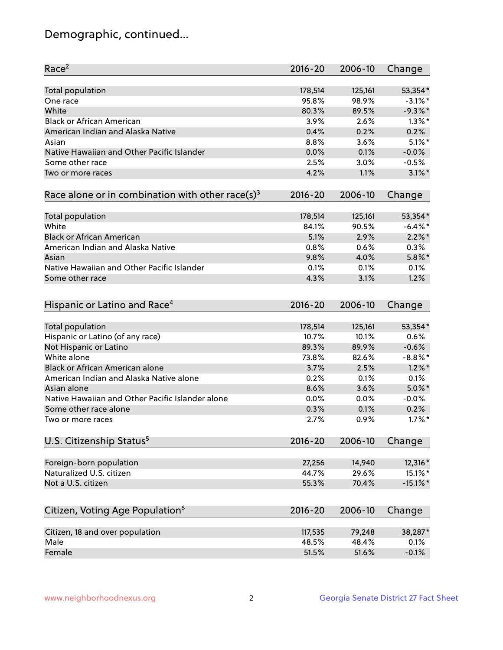## Demographic, continued...

| 53,354*<br>Total population<br>178,514<br>125,161<br>95.8%<br>$-3.1\%$ *<br>98.9%<br>One race<br>White<br>$-9.3%$<br>80.3%<br>89.5%<br><b>Black or African American</b><br>3.9%<br>2.6%<br>$1.3\%$ *<br>American Indian and Alaska Native<br>0.4%<br>0.2%<br>0.2%<br>3.6%<br>$5.1\%$ *<br>8.8%<br>Asian<br>Native Hawaiian and Other Pacific Islander<br>0.0%<br>0.1%<br>$-0.0%$<br>$-0.5%$<br>Some other race<br>2.5%<br>3.0%<br>$3.1\%$ *<br>4.2%<br>1.1%<br>Two or more races<br>Race alone or in combination with other race(s) <sup>3</sup><br>$2016 - 20$<br>2006-10<br>Change<br>53,354*<br>Total population<br>178,514<br>125,161<br>White<br>$-6.4\%$ *<br>84.1%<br>90.5%<br><b>Black or African American</b><br>$2.2\%$ *<br>5.1%<br>2.9%<br>American Indian and Alaska Native<br>0.8%<br>0.6%<br>0.3%<br>$5.8\%$ *<br>9.8%<br>4.0%<br>Asian<br>Native Hawaiian and Other Pacific Islander<br>0.1%<br>0.1%<br>0.1%<br>1.2%<br>4.3%<br>3.1%<br>Some other race<br>Hispanic or Latino and Race <sup>4</sup><br>$2016 - 20$<br>2006-10<br>Change<br>Total population<br>125,161<br>53,354*<br>178,514<br>Hispanic or Latino (of any race)<br>0.6%<br>10.7%<br>10.1%<br>Not Hispanic or Latino<br>89.3%<br>89.9%<br>$-0.6%$<br>White alone<br>$-8.8\%$ *<br>73.8%<br>82.6%<br>Black or African American alone<br>$1.2\%$ *<br>3.7%<br>2.5%<br>American Indian and Alaska Native alone<br>0.1%<br>0.2%<br>0.1%<br>8.6%<br>3.6%<br>$5.0\%$ *<br>Asian alone<br>Native Hawaiian and Other Pacific Islander alone<br>0.0%<br>0.0%<br>$-0.0%$<br>0.2%<br>Some other race alone<br>0.3%<br>0.1%<br>2.7%<br>0.9%<br>$1.7\%$ *<br>Two or more races<br>U.S. Citizenship Status <sup>5</sup><br>$2016 - 20$<br>2006-10<br>Change<br>Foreign-born population<br>14,940<br>12,316*<br>27,256<br>Naturalized U.S. citizen<br>44.7%<br>29.6%<br>15.1%*<br>Not a U.S. citizen<br>70.4%<br>$-15.1\%$ *<br>55.3%<br>Citizen, Voting Age Population <sup>6</sup><br>$2016 - 20$<br>2006-10<br>Change<br>Citizen, 18 and over population<br>38,287*<br>117,535<br>79,248<br>Male<br>48.5%<br>48.4%<br>0.1% | Race <sup>2</sup> | $2016 - 20$ | 2006-10 | Change |
|------------------------------------------------------------------------------------------------------------------------------------------------------------------------------------------------------------------------------------------------------------------------------------------------------------------------------------------------------------------------------------------------------------------------------------------------------------------------------------------------------------------------------------------------------------------------------------------------------------------------------------------------------------------------------------------------------------------------------------------------------------------------------------------------------------------------------------------------------------------------------------------------------------------------------------------------------------------------------------------------------------------------------------------------------------------------------------------------------------------------------------------------------------------------------------------------------------------------------------------------------------------------------------------------------------------------------------------------------------------------------------------------------------------------------------------------------------------------------------------------------------------------------------------------------------------------------------------------------------------------------------------------------------------------------------------------------------------------------------------------------------------------------------------------------------------------------------------------------------------------------------------------------------------------------------------------------------------------------------------------------------------------------------------------------------------------------------------------|-------------------|-------------|---------|--------|
|                                                                                                                                                                                                                                                                                                                                                                                                                                                                                                                                                                                                                                                                                                                                                                                                                                                                                                                                                                                                                                                                                                                                                                                                                                                                                                                                                                                                                                                                                                                                                                                                                                                                                                                                                                                                                                                                                                                                                                                                                                                                                                |                   |             |         |        |
|                                                                                                                                                                                                                                                                                                                                                                                                                                                                                                                                                                                                                                                                                                                                                                                                                                                                                                                                                                                                                                                                                                                                                                                                                                                                                                                                                                                                                                                                                                                                                                                                                                                                                                                                                                                                                                                                                                                                                                                                                                                                                                |                   |             |         |        |
|                                                                                                                                                                                                                                                                                                                                                                                                                                                                                                                                                                                                                                                                                                                                                                                                                                                                                                                                                                                                                                                                                                                                                                                                                                                                                                                                                                                                                                                                                                                                                                                                                                                                                                                                                                                                                                                                                                                                                                                                                                                                                                |                   |             |         |        |
|                                                                                                                                                                                                                                                                                                                                                                                                                                                                                                                                                                                                                                                                                                                                                                                                                                                                                                                                                                                                                                                                                                                                                                                                                                                                                                                                                                                                                                                                                                                                                                                                                                                                                                                                                                                                                                                                                                                                                                                                                                                                                                |                   |             |         |        |
|                                                                                                                                                                                                                                                                                                                                                                                                                                                                                                                                                                                                                                                                                                                                                                                                                                                                                                                                                                                                                                                                                                                                                                                                                                                                                                                                                                                                                                                                                                                                                                                                                                                                                                                                                                                                                                                                                                                                                                                                                                                                                                |                   |             |         |        |
|                                                                                                                                                                                                                                                                                                                                                                                                                                                                                                                                                                                                                                                                                                                                                                                                                                                                                                                                                                                                                                                                                                                                                                                                                                                                                                                                                                                                                                                                                                                                                                                                                                                                                                                                                                                                                                                                                                                                                                                                                                                                                                |                   |             |         |        |
|                                                                                                                                                                                                                                                                                                                                                                                                                                                                                                                                                                                                                                                                                                                                                                                                                                                                                                                                                                                                                                                                                                                                                                                                                                                                                                                                                                                                                                                                                                                                                                                                                                                                                                                                                                                                                                                                                                                                                                                                                                                                                                |                   |             |         |        |
|                                                                                                                                                                                                                                                                                                                                                                                                                                                                                                                                                                                                                                                                                                                                                                                                                                                                                                                                                                                                                                                                                                                                                                                                                                                                                                                                                                                                                                                                                                                                                                                                                                                                                                                                                                                                                                                                                                                                                                                                                                                                                                |                   |             |         |        |
|                                                                                                                                                                                                                                                                                                                                                                                                                                                                                                                                                                                                                                                                                                                                                                                                                                                                                                                                                                                                                                                                                                                                                                                                                                                                                                                                                                                                                                                                                                                                                                                                                                                                                                                                                                                                                                                                                                                                                                                                                                                                                                |                   |             |         |        |
|                                                                                                                                                                                                                                                                                                                                                                                                                                                                                                                                                                                                                                                                                                                                                                                                                                                                                                                                                                                                                                                                                                                                                                                                                                                                                                                                                                                                                                                                                                                                                                                                                                                                                                                                                                                                                                                                                                                                                                                                                                                                                                |                   |             |         |        |
|                                                                                                                                                                                                                                                                                                                                                                                                                                                                                                                                                                                                                                                                                                                                                                                                                                                                                                                                                                                                                                                                                                                                                                                                                                                                                                                                                                                                                                                                                                                                                                                                                                                                                                                                                                                                                                                                                                                                                                                                                                                                                                |                   |             |         |        |
|                                                                                                                                                                                                                                                                                                                                                                                                                                                                                                                                                                                                                                                                                                                                                                                                                                                                                                                                                                                                                                                                                                                                                                                                                                                                                                                                                                                                                                                                                                                                                                                                                                                                                                                                                                                                                                                                                                                                                                                                                                                                                                |                   |             |         |        |
|                                                                                                                                                                                                                                                                                                                                                                                                                                                                                                                                                                                                                                                                                                                                                                                                                                                                                                                                                                                                                                                                                                                                                                                                                                                                                                                                                                                                                                                                                                                                                                                                                                                                                                                                                                                                                                                                                                                                                                                                                                                                                                |                   |             |         |        |
|                                                                                                                                                                                                                                                                                                                                                                                                                                                                                                                                                                                                                                                                                                                                                                                                                                                                                                                                                                                                                                                                                                                                                                                                                                                                                                                                                                                                                                                                                                                                                                                                                                                                                                                                                                                                                                                                                                                                                                                                                                                                                                |                   |             |         |        |
|                                                                                                                                                                                                                                                                                                                                                                                                                                                                                                                                                                                                                                                                                                                                                                                                                                                                                                                                                                                                                                                                                                                                                                                                                                                                                                                                                                                                                                                                                                                                                                                                                                                                                                                                                                                                                                                                                                                                                                                                                                                                                                |                   |             |         |        |
|                                                                                                                                                                                                                                                                                                                                                                                                                                                                                                                                                                                                                                                                                                                                                                                                                                                                                                                                                                                                                                                                                                                                                                                                                                                                                                                                                                                                                                                                                                                                                                                                                                                                                                                                                                                                                                                                                                                                                                                                                                                                                                |                   |             |         |        |
|                                                                                                                                                                                                                                                                                                                                                                                                                                                                                                                                                                                                                                                                                                                                                                                                                                                                                                                                                                                                                                                                                                                                                                                                                                                                                                                                                                                                                                                                                                                                                                                                                                                                                                                                                                                                                                                                                                                                                                                                                                                                                                |                   |             |         |        |
|                                                                                                                                                                                                                                                                                                                                                                                                                                                                                                                                                                                                                                                                                                                                                                                                                                                                                                                                                                                                                                                                                                                                                                                                                                                                                                                                                                                                                                                                                                                                                                                                                                                                                                                                                                                                                                                                                                                                                                                                                                                                                                |                   |             |         |        |
|                                                                                                                                                                                                                                                                                                                                                                                                                                                                                                                                                                                                                                                                                                                                                                                                                                                                                                                                                                                                                                                                                                                                                                                                                                                                                                                                                                                                                                                                                                                                                                                                                                                                                                                                                                                                                                                                                                                                                                                                                                                                                                |                   |             |         |        |
|                                                                                                                                                                                                                                                                                                                                                                                                                                                                                                                                                                                                                                                                                                                                                                                                                                                                                                                                                                                                                                                                                                                                                                                                                                                                                                                                                                                                                                                                                                                                                                                                                                                                                                                                                                                                                                                                                                                                                                                                                                                                                                |                   |             |         |        |
|                                                                                                                                                                                                                                                                                                                                                                                                                                                                                                                                                                                                                                                                                                                                                                                                                                                                                                                                                                                                                                                                                                                                                                                                                                                                                                                                                                                                                                                                                                                                                                                                                                                                                                                                                                                                                                                                                                                                                                                                                                                                                                |                   |             |         |        |
|                                                                                                                                                                                                                                                                                                                                                                                                                                                                                                                                                                                                                                                                                                                                                                                                                                                                                                                                                                                                                                                                                                                                                                                                                                                                                                                                                                                                                                                                                                                                                                                                                                                                                                                                                                                                                                                                                                                                                                                                                                                                                                |                   |             |         |        |
|                                                                                                                                                                                                                                                                                                                                                                                                                                                                                                                                                                                                                                                                                                                                                                                                                                                                                                                                                                                                                                                                                                                                                                                                                                                                                                                                                                                                                                                                                                                                                                                                                                                                                                                                                                                                                                                                                                                                                                                                                                                                                                |                   |             |         |        |
|                                                                                                                                                                                                                                                                                                                                                                                                                                                                                                                                                                                                                                                                                                                                                                                                                                                                                                                                                                                                                                                                                                                                                                                                                                                                                                                                                                                                                                                                                                                                                                                                                                                                                                                                                                                                                                                                                                                                                                                                                                                                                                |                   |             |         |        |
|                                                                                                                                                                                                                                                                                                                                                                                                                                                                                                                                                                                                                                                                                                                                                                                                                                                                                                                                                                                                                                                                                                                                                                                                                                                                                                                                                                                                                                                                                                                                                                                                                                                                                                                                                                                                                                                                                                                                                                                                                                                                                                |                   |             |         |        |
|                                                                                                                                                                                                                                                                                                                                                                                                                                                                                                                                                                                                                                                                                                                                                                                                                                                                                                                                                                                                                                                                                                                                                                                                                                                                                                                                                                                                                                                                                                                                                                                                                                                                                                                                                                                                                                                                                                                                                                                                                                                                                                |                   |             |         |        |
|                                                                                                                                                                                                                                                                                                                                                                                                                                                                                                                                                                                                                                                                                                                                                                                                                                                                                                                                                                                                                                                                                                                                                                                                                                                                                                                                                                                                                                                                                                                                                                                                                                                                                                                                                                                                                                                                                                                                                                                                                                                                                                |                   |             |         |        |
|                                                                                                                                                                                                                                                                                                                                                                                                                                                                                                                                                                                                                                                                                                                                                                                                                                                                                                                                                                                                                                                                                                                                                                                                                                                                                                                                                                                                                                                                                                                                                                                                                                                                                                                                                                                                                                                                                                                                                                                                                                                                                                |                   |             |         |        |
|                                                                                                                                                                                                                                                                                                                                                                                                                                                                                                                                                                                                                                                                                                                                                                                                                                                                                                                                                                                                                                                                                                                                                                                                                                                                                                                                                                                                                                                                                                                                                                                                                                                                                                                                                                                                                                                                                                                                                                                                                                                                                                |                   |             |         |        |
|                                                                                                                                                                                                                                                                                                                                                                                                                                                                                                                                                                                                                                                                                                                                                                                                                                                                                                                                                                                                                                                                                                                                                                                                                                                                                                                                                                                                                                                                                                                                                                                                                                                                                                                                                                                                                                                                                                                                                                                                                                                                                                |                   |             |         |        |
|                                                                                                                                                                                                                                                                                                                                                                                                                                                                                                                                                                                                                                                                                                                                                                                                                                                                                                                                                                                                                                                                                                                                                                                                                                                                                                                                                                                                                                                                                                                                                                                                                                                                                                                                                                                                                                                                                                                                                                                                                                                                                                |                   |             |         |        |
|                                                                                                                                                                                                                                                                                                                                                                                                                                                                                                                                                                                                                                                                                                                                                                                                                                                                                                                                                                                                                                                                                                                                                                                                                                                                                                                                                                                                                                                                                                                                                                                                                                                                                                                                                                                                                                                                                                                                                                                                                                                                                                |                   |             |         |        |
|                                                                                                                                                                                                                                                                                                                                                                                                                                                                                                                                                                                                                                                                                                                                                                                                                                                                                                                                                                                                                                                                                                                                                                                                                                                                                                                                                                                                                                                                                                                                                                                                                                                                                                                                                                                                                                                                                                                                                                                                                                                                                                |                   |             |         |        |
|                                                                                                                                                                                                                                                                                                                                                                                                                                                                                                                                                                                                                                                                                                                                                                                                                                                                                                                                                                                                                                                                                                                                                                                                                                                                                                                                                                                                                                                                                                                                                                                                                                                                                                                                                                                                                                                                                                                                                                                                                                                                                                |                   |             |         |        |
|                                                                                                                                                                                                                                                                                                                                                                                                                                                                                                                                                                                                                                                                                                                                                                                                                                                                                                                                                                                                                                                                                                                                                                                                                                                                                                                                                                                                                                                                                                                                                                                                                                                                                                                                                                                                                                                                                                                                                                                                                                                                                                |                   |             |         |        |
|                                                                                                                                                                                                                                                                                                                                                                                                                                                                                                                                                                                                                                                                                                                                                                                                                                                                                                                                                                                                                                                                                                                                                                                                                                                                                                                                                                                                                                                                                                                                                                                                                                                                                                                                                                                                                                                                                                                                                                                                                                                                                                |                   |             |         |        |
|                                                                                                                                                                                                                                                                                                                                                                                                                                                                                                                                                                                                                                                                                                                                                                                                                                                                                                                                                                                                                                                                                                                                                                                                                                                                                                                                                                                                                                                                                                                                                                                                                                                                                                                                                                                                                                                                                                                                                                                                                                                                                                |                   |             |         |        |
|                                                                                                                                                                                                                                                                                                                                                                                                                                                                                                                                                                                                                                                                                                                                                                                                                                                                                                                                                                                                                                                                                                                                                                                                                                                                                                                                                                                                                                                                                                                                                                                                                                                                                                                                                                                                                                                                                                                                                                                                                                                                                                |                   |             |         |        |
| Female<br>51.6%<br>$-0.1%$<br>51.5%                                                                                                                                                                                                                                                                                                                                                                                                                                                                                                                                                                                                                                                                                                                                                                                                                                                                                                                                                                                                                                                                                                                                                                                                                                                                                                                                                                                                                                                                                                                                                                                                                                                                                                                                                                                                                                                                                                                                                                                                                                                            |                   |             |         |        |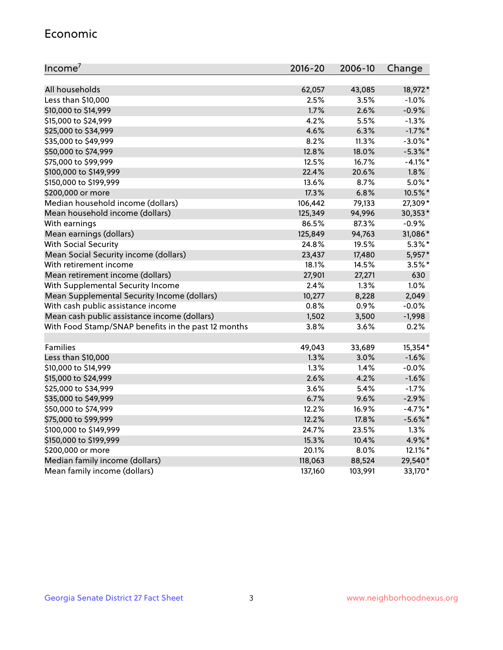#### Economic

| Income <sup>7</sup>                                 | $2016 - 20$ | 2006-10 | Change     |
|-----------------------------------------------------|-------------|---------|------------|
|                                                     |             |         |            |
| All households                                      | 62,057      | 43,085  | 18,972*    |
| Less than \$10,000                                  | 2.5%        | 3.5%    | $-1.0%$    |
| \$10,000 to \$14,999                                | 1.7%        | 2.6%    | $-0.9%$    |
| \$15,000 to \$24,999                                | 4.2%        | 5.5%    | $-1.3%$    |
| \$25,000 to \$34,999                                | 4.6%        | 6.3%    | $-1.7%$ *  |
| \$35,000 to \$49,999                                | $8.2\%$     | 11.3%   | $-3.0\%$ * |
| \$50,000 to \$74,999                                | 12.8%       | 18.0%   | $-5.3\%$ * |
| \$75,000 to \$99,999                                | 12.5%       | 16.7%   | $-4.1\%$ * |
| \$100,000 to \$149,999                              | 22.4%       | 20.6%   | 1.8%       |
| \$150,000 to \$199,999                              | 13.6%       | 8.7%    | $5.0\%$ *  |
| \$200,000 or more                                   | 17.3%       | 6.8%    | 10.5%*     |
| Median household income (dollars)                   | 106,442     | 79,133  | 27,309*    |
| Mean household income (dollars)                     | 125,349     | 94,996  | 30,353*    |
| With earnings                                       | 86.5%       | 87.3%   | $-0.9%$    |
| Mean earnings (dollars)                             | 125,849     | 94,763  | 31,086*    |
| <b>With Social Security</b>                         | 24.8%       | 19.5%   | $5.3\%$ *  |
| Mean Social Security income (dollars)               | 23,437      | 17,480  | 5,957*     |
| With retirement income                              | 18.1%       | 14.5%   | $3.5%$ *   |
| Mean retirement income (dollars)                    | 27,901      | 27,271  | 630        |
| With Supplemental Security Income                   | 2.4%        | 1.3%    | 1.0%       |
| Mean Supplemental Security Income (dollars)         | 10,277      | 8,228   | 2,049      |
| With cash public assistance income                  | 0.8%        | 0.9%    | $-0.0%$    |
| Mean cash public assistance income (dollars)        | 1,502       | 3,500   | $-1,998$   |
| With Food Stamp/SNAP benefits in the past 12 months | 3.8%        | 3.6%    | 0.2%       |
|                                                     |             |         |            |
| Families                                            | 49,043      | 33,689  | 15,354*    |
| Less than \$10,000                                  | 1.3%        | 3.0%    | $-1.6%$    |
| \$10,000 to \$14,999                                | 1.3%        | 1.4%    | $-0.0%$    |
| \$15,000 to \$24,999                                | 2.6%        | 4.2%    | $-1.6%$    |
| \$25,000 to \$34,999                                | 3.6%        | 5.4%    | $-1.7%$    |
| \$35,000 to \$49,999                                | 6.7%        | 9.6%    | $-2.9%$    |
| \$50,000 to \$74,999                                | 12.2%       | 16.9%   | $-4.7%$ *  |
| \$75,000 to \$99,999                                | 12.2%       | 17.8%   | $-5.6\%$ * |
| \$100,000 to \$149,999                              | 24.7%       | 23.5%   | 1.3%       |
| \$150,000 to \$199,999                              | 15.3%       | 10.4%   | 4.9%*      |
| \$200,000 or more                                   | 20.1%       | 8.0%    | 12.1%*     |
| Median family income (dollars)                      | 118,063     | 88,524  | 29,540*    |
| Mean family income (dollars)                        | 137,160     | 103,991 | 33,170*    |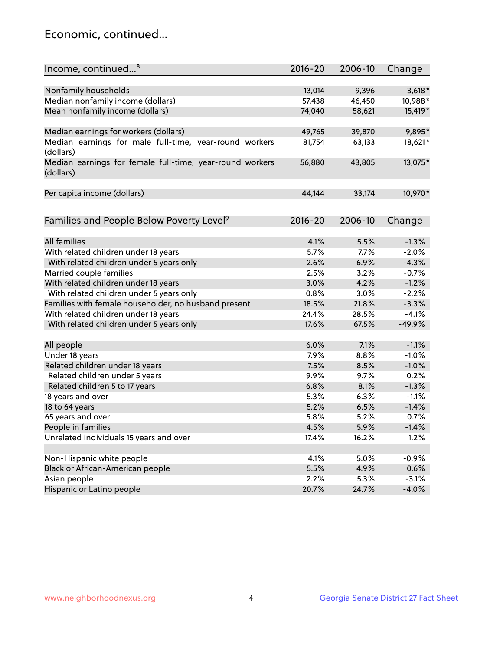## Economic, continued...

| Nonfamily households<br>13,014<br>9,396<br>$3,618*$<br>Median nonfamily income (dollars)<br>10,988*<br>57,438<br>46,450<br>Mean nonfamily income (dollars)<br>74,040<br>58,621<br>15,419*<br>Median earnings for workers (dollars)<br>9,895*<br>49,765<br>39,870<br>Median earnings for male full-time, year-round workers<br>18,621*<br>81,754<br>63,133<br>(dollars)<br>13,075*<br>Median earnings for female full-time, year-round workers<br>56,880<br>43,805<br>(dollars)<br>10,970*<br>Per capita income (dollars)<br>44,144<br>33,174<br>Families and People Below Poverty Level <sup>9</sup><br>2016-20<br>2006-10<br>Change<br><b>All families</b><br>4.1%<br>5.5%<br>$-1.3%$<br>With related children under 18 years<br>5.7%<br>7.7%<br>$-2.0%$<br>With related children under 5 years only<br>2.6%<br>6.9%<br>$-4.3%$<br>Married couple families<br>2.5%<br>3.2%<br>$-0.7%$<br>With related children under 18 years<br>$-1.2%$<br>3.0%<br>4.2%<br>With related children under 5 years only<br>0.8%<br>3.0%<br>$-2.2%$<br>Families with female householder, no husband present<br>$-3.3%$<br>18.5%<br>21.8%<br>With related children under 18 years<br>24.4%<br>28.5%<br>$-4.1%$<br>With related children under 5 years only<br>17.6%<br>67.5%<br>$-49.9%$<br>$-1.1%$<br>All people<br>6.0%<br>7.1%<br>Under 18 years<br>8.8%<br>$-1.0%$<br>7.9%<br>Related children under 18 years<br>7.5%<br>$-1.0%$<br>8.5%<br>Related children under 5 years<br>9.9%<br>9.7%<br>0.2%<br>Related children 5 to 17 years<br>6.8%<br>8.1%<br>$-1.3%$<br>5.3%<br>18 years and over<br>6.3%<br>$-1.1%$<br>5.2%<br>$-1.4%$<br>18 to 64 years<br>6.5%<br>65 years and over<br>5.8%<br>5.2%<br>0.7%<br>People in families<br>4.5%<br>5.9%<br>$-1.4%$<br>Unrelated individuals 15 years and over<br>17.4%<br>16.2%<br>1.2%<br>Non-Hispanic white people<br>4.1%<br>5.0%<br>$-0.9%$<br>Black or African-American people<br>5.5%<br>4.9%<br>0.6% | Income, continued <sup>8</sup> | $2016 - 20$ | 2006-10 | Change |
|-------------------------------------------------------------------------------------------------------------------------------------------------------------------------------------------------------------------------------------------------------------------------------------------------------------------------------------------------------------------------------------------------------------------------------------------------------------------------------------------------------------------------------------------------------------------------------------------------------------------------------------------------------------------------------------------------------------------------------------------------------------------------------------------------------------------------------------------------------------------------------------------------------------------------------------------------------------------------------------------------------------------------------------------------------------------------------------------------------------------------------------------------------------------------------------------------------------------------------------------------------------------------------------------------------------------------------------------------------------------------------------------------------------------------------------------------------------------------------------------------------------------------------------------------------------------------------------------------------------------------------------------------------------------------------------------------------------------------------------------------------------------------------------------------------------------------------------------------------------------------------------------------------------------------------------|--------------------------------|-------------|---------|--------|
|                                                                                                                                                                                                                                                                                                                                                                                                                                                                                                                                                                                                                                                                                                                                                                                                                                                                                                                                                                                                                                                                                                                                                                                                                                                                                                                                                                                                                                                                                                                                                                                                                                                                                                                                                                                                                                                                                                                                     |                                |             |         |        |
|                                                                                                                                                                                                                                                                                                                                                                                                                                                                                                                                                                                                                                                                                                                                                                                                                                                                                                                                                                                                                                                                                                                                                                                                                                                                                                                                                                                                                                                                                                                                                                                                                                                                                                                                                                                                                                                                                                                                     |                                |             |         |        |
|                                                                                                                                                                                                                                                                                                                                                                                                                                                                                                                                                                                                                                                                                                                                                                                                                                                                                                                                                                                                                                                                                                                                                                                                                                                                                                                                                                                                                                                                                                                                                                                                                                                                                                                                                                                                                                                                                                                                     |                                |             |         |        |
|                                                                                                                                                                                                                                                                                                                                                                                                                                                                                                                                                                                                                                                                                                                                                                                                                                                                                                                                                                                                                                                                                                                                                                                                                                                                                                                                                                                                                                                                                                                                                                                                                                                                                                                                                                                                                                                                                                                                     |                                |             |         |        |
|                                                                                                                                                                                                                                                                                                                                                                                                                                                                                                                                                                                                                                                                                                                                                                                                                                                                                                                                                                                                                                                                                                                                                                                                                                                                                                                                                                                                                                                                                                                                                                                                                                                                                                                                                                                                                                                                                                                                     |                                |             |         |        |
|                                                                                                                                                                                                                                                                                                                                                                                                                                                                                                                                                                                                                                                                                                                                                                                                                                                                                                                                                                                                                                                                                                                                                                                                                                                                                                                                                                                                                                                                                                                                                                                                                                                                                                                                                                                                                                                                                                                                     |                                |             |         |        |
|                                                                                                                                                                                                                                                                                                                                                                                                                                                                                                                                                                                                                                                                                                                                                                                                                                                                                                                                                                                                                                                                                                                                                                                                                                                                                                                                                                                                                                                                                                                                                                                                                                                                                                                                                                                                                                                                                                                                     |                                |             |         |        |
|                                                                                                                                                                                                                                                                                                                                                                                                                                                                                                                                                                                                                                                                                                                                                                                                                                                                                                                                                                                                                                                                                                                                                                                                                                                                                                                                                                                                                                                                                                                                                                                                                                                                                                                                                                                                                                                                                                                                     |                                |             |         |        |
|                                                                                                                                                                                                                                                                                                                                                                                                                                                                                                                                                                                                                                                                                                                                                                                                                                                                                                                                                                                                                                                                                                                                                                                                                                                                                                                                                                                                                                                                                                                                                                                                                                                                                                                                                                                                                                                                                                                                     |                                |             |         |        |
|                                                                                                                                                                                                                                                                                                                                                                                                                                                                                                                                                                                                                                                                                                                                                                                                                                                                                                                                                                                                                                                                                                                                                                                                                                                                                                                                                                                                                                                                                                                                                                                                                                                                                                                                                                                                                                                                                                                                     |                                |             |         |        |
|                                                                                                                                                                                                                                                                                                                                                                                                                                                                                                                                                                                                                                                                                                                                                                                                                                                                                                                                                                                                                                                                                                                                                                                                                                                                                                                                                                                                                                                                                                                                                                                                                                                                                                                                                                                                                                                                                                                                     |                                |             |         |        |
|                                                                                                                                                                                                                                                                                                                                                                                                                                                                                                                                                                                                                                                                                                                                                                                                                                                                                                                                                                                                                                                                                                                                                                                                                                                                                                                                                                                                                                                                                                                                                                                                                                                                                                                                                                                                                                                                                                                                     |                                |             |         |        |
|                                                                                                                                                                                                                                                                                                                                                                                                                                                                                                                                                                                                                                                                                                                                                                                                                                                                                                                                                                                                                                                                                                                                                                                                                                                                                                                                                                                                                                                                                                                                                                                                                                                                                                                                                                                                                                                                                                                                     |                                |             |         |        |
|                                                                                                                                                                                                                                                                                                                                                                                                                                                                                                                                                                                                                                                                                                                                                                                                                                                                                                                                                                                                                                                                                                                                                                                                                                                                                                                                                                                                                                                                                                                                                                                                                                                                                                                                                                                                                                                                                                                                     |                                |             |         |        |
|                                                                                                                                                                                                                                                                                                                                                                                                                                                                                                                                                                                                                                                                                                                                                                                                                                                                                                                                                                                                                                                                                                                                                                                                                                                                                                                                                                                                                                                                                                                                                                                                                                                                                                                                                                                                                                                                                                                                     |                                |             |         |        |
|                                                                                                                                                                                                                                                                                                                                                                                                                                                                                                                                                                                                                                                                                                                                                                                                                                                                                                                                                                                                                                                                                                                                                                                                                                                                                                                                                                                                                                                                                                                                                                                                                                                                                                                                                                                                                                                                                                                                     |                                |             |         |        |
|                                                                                                                                                                                                                                                                                                                                                                                                                                                                                                                                                                                                                                                                                                                                                                                                                                                                                                                                                                                                                                                                                                                                                                                                                                                                                                                                                                                                                                                                                                                                                                                                                                                                                                                                                                                                                                                                                                                                     |                                |             |         |        |
|                                                                                                                                                                                                                                                                                                                                                                                                                                                                                                                                                                                                                                                                                                                                                                                                                                                                                                                                                                                                                                                                                                                                                                                                                                                                                                                                                                                                                                                                                                                                                                                                                                                                                                                                                                                                                                                                                                                                     |                                |             |         |        |
|                                                                                                                                                                                                                                                                                                                                                                                                                                                                                                                                                                                                                                                                                                                                                                                                                                                                                                                                                                                                                                                                                                                                                                                                                                                                                                                                                                                                                                                                                                                                                                                                                                                                                                                                                                                                                                                                                                                                     |                                |             |         |        |
|                                                                                                                                                                                                                                                                                                                                                                                                                                                                                                                                                                                                                                                                                                                                                                                                                                                                                                                                                                                                                                                                                                                                                                                                                                                                                                                                                                                                                                                                                                                                                                                                                                                                                                                                                                                                                                                                                                                                     |                                |             |         |        |
|                                                                                                                                                                                                                                                                                                                                                                                                                                                                                                                                                                                                                                                                                                                                                                                                                                                                                                                                                                                                                                                                                                                                                                                                                                                                                                                                                                                                                                                                                                                                                                                                                                                                                                                                                                                                                                                                                                                                     |                                |             |         |        |
|                                                                                                                                                                                                                                                                                                                                                                                                                                                                                                                                                                                                                                                                                                                                                                                                                                                                                                                                                                                                                                                                                                                                                                                                                                                                                                                                                                                                                                                                                                                                                                                                                                                                                                                                                                                                                                                                                                                                     |                                |             |         |        |
|                                                                                                                                                                                                                                                                                                                                                                                                                                                                                                                                                                                                                                                                                                                                                                                                                                                                                                                                                                                                                                                                                                                                                                                                                                                                                                                                                                                                                                                                                                                                                                                                                                                                                                                                                                                                                                                                                                                                     |                                |             |         |        |
|                                                                                                                                                                                                                                                                                                                                                                                                                                                                                                                                                                                                                                                                                                                                                                                                                                                                                                                                                                                                                                                                                                                                                                                                                                                                                                                                                                                                                                                                                                                                                                                                                                                                                                                                                                                                                                                                                                                                     |                                |             |         |        |
|                                                                                                                                                                                                                                                                                                                                                                                                                                                                                                                                                                                                                                                                                                                                                                                                                                                                                                                                                                                                                                                                                                                                                                                                                                                                                                                                                                                                                                                                                                                                                                                                                                                                                                                                                                                                                                                                                                                                     |                                |             |         |        |
|                                                                                                                                                                                                                                                                                                                                                                                                                                                                                                                                                                                                                                                                                                                                                                                                                                                                                                                                                                                                                                                                                                                                                                                                                                                                                                                                                                                                                                                                                                                                                                                                                                                                                                                                                                                                                                                                                                                                     |                                |             |         |        |
|                                                                                                                                                                                                                                                                                                                                                                                                                                                                                                                                                                                                                                                                                                                                                                                                                                                                                                                                                                                                                                                                                                                                                                                                                                                                                                                                                                                                                                                                                                                                                                                                                                                                                                                                                                                                                                                                                                                                     |                                |             |         |        |
|                                                                                                                                                                                                                                                                                                                                                                                                                                                                                                                                                                                                                                                                                                                                                                                                                                                                                                                                                                                                                                                                                                                                                                                                                                                                                                                                                                                                                                                                                                                                                                                                                                                                                                                                                                                                                                                                                                                                     |                                |             |         |        |
|                                                                                                                                                                                                                                                                                                                                                                                                                                                                                                                                                                                                                                                                                                                                                                                                                                                                                                                                                                                                                                                                                                                                                                                                                                                                                                                                                                                                                                                                                                                                                                                                                                                                                                                                                                                                                                                                                                                                     |                                |             |         |        |
|                                                                                                                                                                                                                                                                                                                                                                                                                                                                                                                                                                                                                                                                                                                                                                                                                                                                                                                                                                                                                                                                                                                                                                                                                                                                                                                                                                                                                                                                                                                                                                                                                                                                                                                                                                                                                                                                                                                                     |                                |             |         |        |
|                                                                                                                                                                                                                                                                                                                                                                                                                                                                                                                                                                                                                                                                                                                                                                                                                                                                                                                                                                                                                                                                                                                                                                                                                                                                                                                                                                                                                                                                                                                                                                                                                                                                                                                                                                                                                                                                                                                                     |                                |             |         |        |
|                                                                                                                                                                                                                                                                                                                                                                                                                                                                                                                                                                                                                                                                                                                                                                                                                                                                                                                                                                                                                                                                                                                                                                                                                                                                                                                                                                                                                                                                                                                                                                                                                                                                                                                                                                                                                                                                                                                                     |                                |             |         |        |
|                                                                                                                                                                                                                                                                                                                                                                                                                                                                                                                                                                                                                                                                                                                                                                                                                                                                                                                                                                                                                                                                                                                                                                                                                                                                                                                                                                                                                                                                                                                                                                                                                                                                                                                                                                                                                                                                                                                                     |                                |             |         |        |
|                                                                                                                                                                                                                                                                                                                                                                                                                                                                                                                                                                                                                                                                                                                                                                                                                                                                                                                                                                                                                                                                                                                                                                                                                                                                                                                                                                                                                                                                                                                                                                                                                                                                                                                                                                                                                                                                                                                                     |                                |             |         |        |
| Asian people<br>2.2%<br>5.3%<br>$-3.1%$                                                                                                                                                                                                                                                                                                                                                                                                                                                                                                                                                                                                                                                                                                                                                                                                                                                                                                                                                                                                                                                                                                                                                                                                                                                                                                                                                                                                                                                                                                                                                                                                                                                                                                                                                                                                                                                                                             |                                |             |         |        |
| Hispanic or Latino people<br>20.7%<br>$-4.0%$<br>24.7%                                                                                                                                                                                                                                                                                                                                                                                                                                                                                                                                                                                                                                                                                                                                                                                                                                                                                                                                                                                                                                                                                                                                                                                                                                                                                                                                                                                                                                                                                                                                                                                                                                                                                                                                                                                                                                                                              |                                |             |         |        |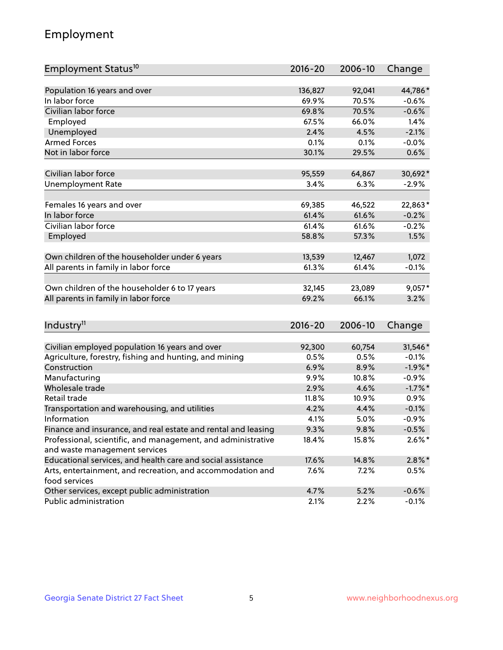## Employment

| Employment Status <sup>10</sup>                                             | 2016-20     | 2006-10 | Change    |
|-----------------------------------------------------------------------------|-------------|---------|-----------|
|                                                                             |             |         |           |
| Population 16 years and over                                                | 136,827     | 92,041  | 44,786*   |
| In labor force                                                              | 69.9%       | 70.5%   | $-0.6%$   |
| Civilian labor force                                                        | 69.8%       | 70.5%   | $-0.6%$   |
| Employed                                                                    | 67.5%       | 66.0%   | 1.4%      |
| Unemployed                                                                  | 2.4%        | 4.5%    | $-2.1%$   |
| <b>Armed Forces</b>                                                         | 0.1%        | 0.1%    | $-0.0%$   |
| Not in labor force                                                          | 30.1%       | 29.5%   | 0.6%      |
| Civilian labor force                                                        | 95,559      | 64,867  | 30,692*   |
| <b>Unemployment Rate</b>                                                    | 3.4%        | 6.3%    | $-2.9%$   |
|                                                                             |             |         |           |
| Females 16 years and over                                                   | 69,385      | 46,522  | 22,863*   |
| In labor force                                                              | 61.4%       | 61.6%   | $-0.2%$   |
| Civilian labor force                                                        | 61.4%       | 61.6%   | $-0.2%$   |
| Employed                                                                    | 58.8%       | 57.3%   | 1.5%      |
|                                                                             |             |         |           |
| Own children of the householder under 6 years                               | 13,539      | 12,467  | 1,072     |
| All parents in family in labor force                                        | 61.3%       | 61.4%   | $-0.1%$   |
| Own children of the householder 6 to 17 years                               | 32,145      | 23,089  | $9,057*$  |
| All parents in family in labor force                                        | 69.2%       | 66.1%   | 3.2%      |
|                                                                             |             |         |           |
| Industry <sup>11</sup>                                                      | $2016 - 20$ | 2006-10 | Change    |
|                                                                             |             |         |           |
| Civilian employed population 16 years and over                              | 92,300      | 60,754  | 31,546*   |
| Agriculture, forestry, fishing and hunting, and mining                      | 0.5%        | 0.5%    | $-0.1%$   |
| Construction                                                                | 6.9%        | 8.9%    | $-1.9%$ * |
| Manufacturing                                                               | 9.9%        | 10.8%   | $-0.9%$   |
| Wholesale trade                                                             | 2.9%        | 4.6%    | $-1.7%$ * |
| Retail trade                                                                | 11.8%       | 10.9%   | 0.9%      |
| Transportation and warehousing, and utilities                               | 4.2%        | 4.4%    | $-0.1%$   |
| Information                                                                 | 4.1%        | 5.0%    | $-0.9%$   |
| Finance and insurance, and real estate and rental and leasing               | 9.3%        | 9.8%    | $-0.5%$   |
| Professional, scientific, and management, and administrative                | 18.4%       | 15.8%   | $2.6\%*$  |
| and waste management services                                               |             |         |           |
| Educational services, and health care and social assistance                 | 17.6%       | 14.8%   | $2.8\%$ * |
| Arts, entertainment, and recreation, and accommodation and<br>food services | 7.6%        | 7.2%    | 0.5%      |
| Other services, except public administration                                | 4.7%        | 5.2%    | $-0.6%$   |
| Public administration                                                       | 2.1%        | 2.2%    | $-0.1%$   |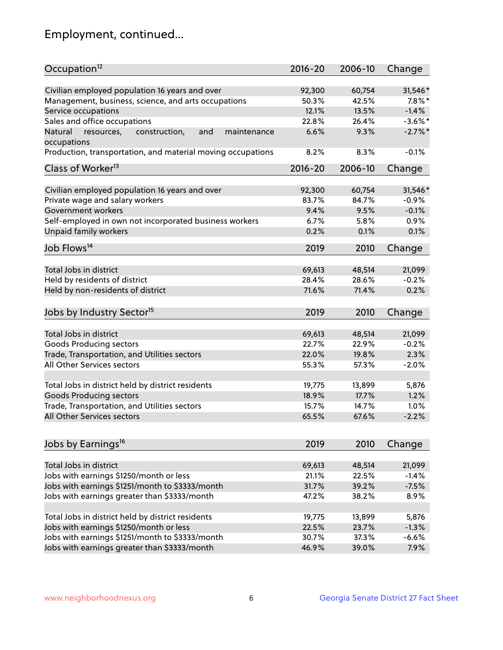## Employment, continued...

| Occupation <sup>12</sup>                                     | $2016 - 20$ | 2006-10 | Change     |
|--------------------------------------------------------------|-------------|---------|------------|
| Civilian employed population 16 years and over               | 92,300      | 60,754  | 31,546*    |
| Management, business, science, and arts occupations          | 50.3%       | 42.5%   | $7.8\%$ *  |
| Service occupations                                          | 12.1%       | 13.5%   | $-1.4%$    |
| Sales and office occupations                                 | 22.8%       | 26.4%   | $-3.6\%$ * |
| Natural<br>and<br>resources,<br>construction,<br>maintenance | 6.6%        | 9.3%    | $-2.7\%$ * |
| occupations                                                  |             |         |            |
| Production, transportation, and material moving occupations  | 8.2%        | 8.3%    | $-0.1%$    |
| Class of Worker <sup>13</sup>                                | $2016 - 20$ | 2006-10 | Change     |
| Civilian employed population 16 years and over               | 92,300      | 60,754  | 31,546*    |
| Private wage and salary workers                              | 83.7%       | 84.7%   | $-0.9%$    |
| Government workers                                           | 9.4%        | 9.5%    | $-0.1%$    |
| Self-employed in own not incorporated business workers       | 6.7%        | 5.8%    | 0.9%       |
| Unpaid family workers                                        | 0.2%        | 0.1%    | 0.1%       |
|                                                              |             |         |            |
| Job Flows <sup>14</sup>                                      | 2019        | 2010    | Change     |
| Total Jobs in district                                       | 69,613      | 48,514  | 21,099     |
| Held by residents of district                                | 28.4%       | 28.6%   | $-0.2%$    |
| Held by non-residents of district                            | 71.6%       | 71.4%   | 0.2%       |
| Jobs by Industry Sector <sup>15</sup>                        | 2019        | 2010    | Change     |
|                                                              |             |         |            |
| Total Jobs in district                                       | 69,613      | 48,514  | 21,099     |
| Goods Producing sectors                                      | 22.7%       | 22.9%   | $-0.2%$    |
| Trade, Transportation, and Utilities sectors                 | 22.0%       | 19.8%   | 2.3%       |
| All Other Services sectors                                   | 55.3%       | 57.3%   | $-2.0%$    |
| Total Jobs in district held by district residents            | 19,775      | 13,899  | 5,876      |
| <b>Goods Producing sectors</b>                               | 18.9%       | 17.7%   | 1.2%       |
| Trade, Transportation, and Utilities sectors                 | 15.7%       | 14.7%   | 1.0%       |
| All Other Services sectors                                   | 65.5%       | 67.6%   | $-2.2%$    |
|                                                              |             |         |            |
| Jobs by Earnings <sup>16</sup>                               | 2019        | 2010    | Change     |
| Total Jobs in district                                       | 69,613      | 48,514  | 21,099     |
| Jobs with earnings \$1250/month or less                      | 21.1%       | 22.5%   | $-1.4%$    |
| Jobs with earnings \$1251/month to \$3333/month              | 31.7%       | 39.2%   | $-7.5%$    |
| Jobs with earnings greater than \$3333/month                 | 47.2%       | 38.2%   | 8.9%       |
|                                                              |             |         |            |
| Total Jobs in district held by district residents            | 19,775      | 13,899  | 5,876      |
| Jobs with earnings \$1250/month or less                      | 22.5%       | 23.7%   | $-1.3%$    |
| Jobs with earnings \$1251/month to \$3333/month              | 30.7%       | 37.3%   | $-6.6%$    |
| Jobs with earnings greater than \$3333/month                 | 46.9%       | 39.0%   | 7.9%       |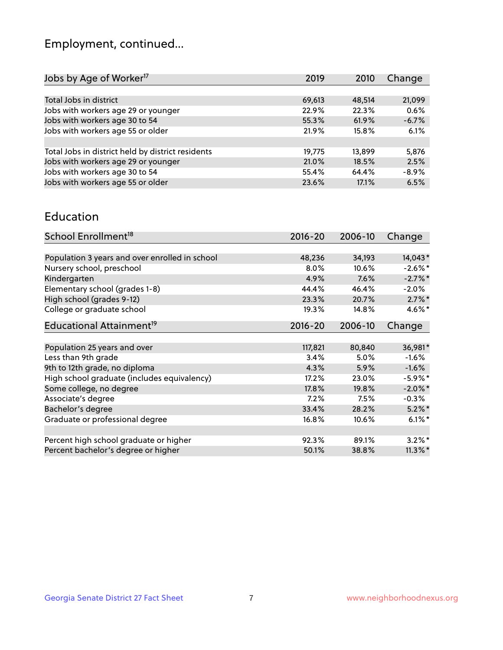## Employment, continued...

| 2019   | 2010   | Change  |
|--------|--------|---------|
|        |        |         |
| 69,613 | 48,514 | 21,099  |
| 22.9%  | 22.3%  | 0.6%    |
| 55.3%  | 61.9%  | $-6.7%$ |
| 21.9%  | 15.8%  | 6.1%    |
|        |        |         |
| 19,775 | 13,899 | 5,876   |
| 21.0%  | 18.5%  | 2.5%    |
| 55.4%  | 64.4%  | $-8.9%$ |
| 23.6%  | 17.1%  | 6.5%    |
|        |        |         |

#### Education

| School Enrollment <sup>18</sup>                | $2016 - 20$ | 2006-10 | Change     |
|------------------------------------------------|-------------|---------|------------|
|                                                |             |         |            |
| Population 3 years and over enrolled in school | 48,236      | 34,193  | 14,043*    |
| Nursery school, preschool                      | $8.0\%$     | 10.6%   | $-2.6\%$ * |
| Kindergarten                                   | 4.9%        | 7.6%    | $-2.7%$ *  |
| Elementary school (grades 1-8)                 | 44.4%       | 46.4%   | $-2.0%$    |
| High school (grades 9-12)                      | 23.3%       | 20.7%   | $2.7\%$ *  |
| College or graduate school                     | 19.3%       | 14.8%   | $4.6\%$ *  |
| Educational Attainment <sup>19</sup>           | $2016 - 20$ | 2006-10 | Change     |
|                                                |             |         |            |
| Population 25 years and over                   | 117,821     | 80,840  | 36,981*    |
| Less than 9th grade                            | 3.4%        | 5.0%    | $-1.6%$    |
| 9th to 12th grade, no diploma                  | 4.3%        | 5.9%    | $-1.6%$    |
| High school graduate (includes equivalency)    | 17.2%       | 23.0%   | $-5.9\%$ * |
| Some college, no degree                        | 17.8%       | 19.8%   | $-2.0\%$ * |
| Associate's degree                             | 7.2%        | 7.5%    | $-0.3%$    |
| Bachelor's degree                              | 33.4%       | 28.2%   | $5.2\%$ *  |
| Graduate or professional degree                | 16.8%       | 10.6%   | $6.1\%$ *  |
|                                                |             |         |            |
| Percent high school graduate or higher         | 92.3%       | 89.1%   | $3.2\%$ *  |
| Percent bachelor's degree or higher            | 50.1%       | 38.8%   | $11.3\%$ * |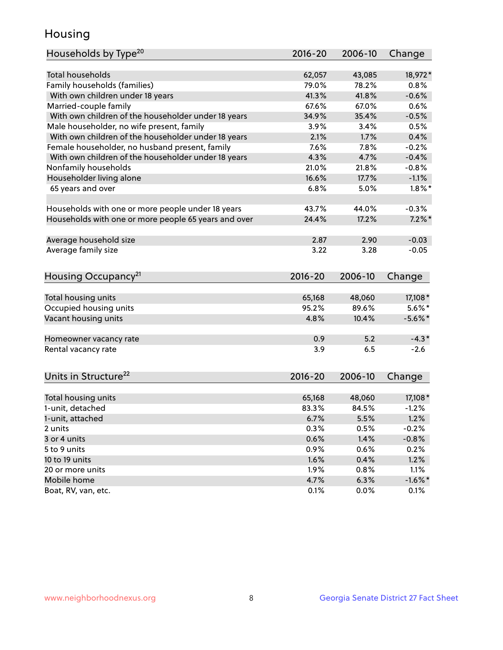## Housing

| Households by Type <sup>20</sup>                     | 2016-20     | 2006-10 | Change     |
|------------------------------------------------------|-------------|---------|------------|
|                                                      |             |         |            |
| <b>Total households</b>                              | 62,057      | 43,085  | 18,972*    |
| Family households (families)                         | 79.0%       | 78.2%   | 0.8%       |
| With own children under 18 years                     | 41.3%       | 41.8%   | $-0.6%$    |
| Married-couple family                                | 67.6%       | 67.0%   | 0.6%       |
| With own children of the householder under 18 years  | 34.9%       | 35.4%   | $-0.5%$    |
| Male householder, no wife present, family            | 3.9%        | 3.4%    | 0.5%       |
| With own children of the householder under 18 years  | 2.1%        | 1.7%    | 0.4%       |
| Female householder, no husband present, family       | 7.6%        | 7.8%    | $-0.2%$    |
| With own children of the householder under 18 years  | 4.3%        | 4.7%    | $-0.4%$    |
| Nonfamily households                                 | 21.0%       | 21.8%   | $-0.8%$    |
| Householder living alone                             | 16.6%       | 17.7%   | $-1.1%$    |
| 65 years and over                                    | 6.8%        | 5.0%    | $1.8\%$ *  |
|                                                      |             |         |            |
| Households with one or more people under 18 years    | 43.7%       | 44.0%   | $-0.3%$    |
| Households with one or more people 65 years and over | 24.4%       | 17.2%   | $7.2\%$ *  |
|                                                      |             |         |            |
| Average household size                               | 2.87        | 2.90    | $-0.03$    |
| Average family size                                  | 3.22        | 3.28    | $-0.05$    |
|                                                      |             |         |            |
| Housing Occupancy <sup>21</sup>                      | $2016 - 20$ | 2006-10 | Change     |
|                                                      |             |         |            |
| Total housing units                                  | 65,168      | 48,060  | 17,108 *   |
| Occupied housing units                               | 95.2%       | 89.6%   | $5.6\%$ *  |
| Vacant housing units                                 | 4.8%        | 10.4%   | $-5.6\%$ * |
|                                                      |             |         |            |
| Homeowner vacancy rate                               | 0.9         | 5.2     | $-4.3*$    |
| Rental vacancy rate                                  | 3.9         | 6.5     | $-2.6$     |
|                                                      |             |         |            |
| Units in Structure <sup>22</sup>                     | 2016-20     | 2006-10 | Change     |
|                                                      |             |         |            |
| Total housing units                                  | 65,168      | 48,060  | 17,108*    |
| 1-unit, detached                                     | 83.3%       | 84.5%   | $-1.2%$    |
| 1-unit, attached                                     | 6.7%        | 5.5%    | 1.2%       |
| 2 units                                              | 0.3%        | 0.5%    | $-0.2%$    |
| 3 or 4 units                                         | 0.6%        | 1.4%    | $-0.8%$    |
| 5 to 9 units                                         | 0.9%        | 0.6%    | 0.2%       |
| 10 to 19 units                                       | 1.6%        | 0.4%    | 1.2%       |
| 20 or more units                                     | 1.9%        | 0.8%    | 1.1%       |
| Mobile home                                          | 4.7%        | 6.3%    | $-1.6\%$ * |
| Boat, RV, van, etc.                                  | 0.1%        | 0.0%    | 0.1%       |
|                                                      |             |         |            |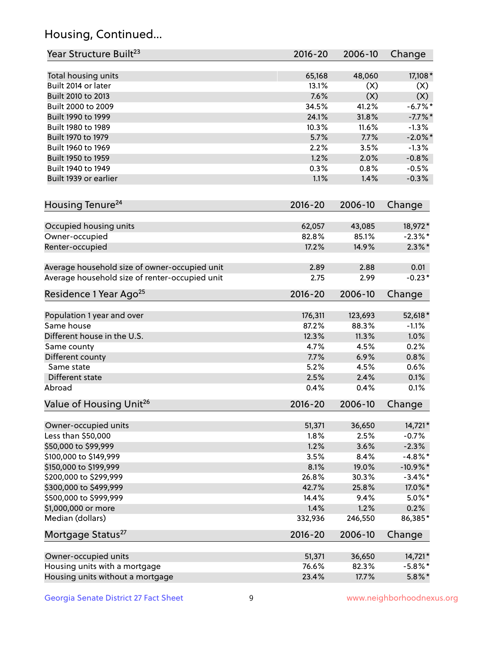## Housing, Continued...

| Year Structure Built <sup>23</sup>             | 2016-20     | 2006-10 | Change      |
|------------------------------------------------|-------------|---------|-------------|
| Total housing units                            | 65,168      | 48,060  | 17,108 *    |
| Built 2014 or later                            | 13.1%       | (X)     | (X)         |
| Built 2010 to 2013                             | 7.6%        | (X)     | (X)         |
| Built 2000 to 2009                             | 34.5%       | 41.2%   | $-6.7%$ *   |
| Built 1990 to 1999                             | 24.1%       | 31.8%   | $-7.7\%$ *  |
| Built 1980 to 1989                             | 10.3%       | 11.6%   | $-1.3%$     |
| Built 1970 to 1979                             | 5.7%        | 7.7%    | $-2.0\%$ *  |
| Built 1960 to 1969                             | 2.2%        | 3.5%    | $-1.3%$     |
| Built 1950 to 1959                             | 1.2%        | 2.0%    | $-0.8%$     |
| Built 1940 to 1949                             | 0.3%        | 0.8%    | $-0.5%$     |
| Built 1939 or earlier                          | 1.1%        | 1.4%    | $-0.3%$     |
| Housing Tenure <sup>24</sup>                   | $2016 - 20$ | 2006-10 | Change      |
|                                                |             |         |             |
| Occupied housing units                         | 62,057      | 43,085  | 18,972*     |
| Owner-occupied                                 | 82.8%       | 85.1%   | $-2.3\%$ *  |
| Renter-occupied                                | 17.2%       | 14.9%   | $2.3\%*$    |
| Average household size of owner-occupied unit  | 2.89        | 2.88    | 0.01        |
| Average household size of renter-occupied unit | 2.75        | 2.99    | $-0.23*$    |
| Residence 1 Year Ago <sup>25</sup>             | $2016 - 20$ | 2006-10 | Change      |
| Population 1 year and over                     | 176,311     | 123,693 | 52,618*     |
| Same house                                     | 87.2%       | 88.3%   | $-1.1%$     |
| Different house in the U.S.                    | 12.3%       | 11.3%   | 1.0%        |
| Same county                                    | 4.7%        | 4.5%    | 0.2%        |
| Different county                               | 7.7%        | 6.9%    | 0.8%        |
| Same state                                     | 5.2%        | 4.5%    | 0.6%        |
| Different state                                | 2.5%        | 2.4%    | 0.1%        |
| Abroad                                         | 0.4%        | 0.4%    | 0.1%        |
| Value of Housing Unit <sup>26</sup>            | 2016-20     | 2006-10 | Change      |
| Owner-occupied units                           | 51,371      | 36,650  | 14,721*     |
| Less than \$50,000                             | 1.8%        | 2.5%    | $-0.7%$     |
| \$50,000 to \$99,999                           | 1.2%        | 3.6%    | $-2.3%$     |
| \$100,000 to \$149,999                         | 3.5%        | 8.4%    | $-4.8\%$ *  |
| \$150,000 to \$199,999                         | 8.1%        | 19.0%   | $-10.9\%$ * |
| \$200,000 to \$299,999                         | 26.8%       | 30.3%   | $-3.4\%$ *  |
| \$300,000 to \$499,999                         | 42.7%       | 25.8%   | 17.0%*      |
| \$500,000 to \$999,999                         | 14.4%       | 9.4%    | $5.0\%$ *   |
| \$1,000,000 or more                            | 1.4%        | 1.2%    | 0.2%        |
| Median (dollars)                               | 332,936     | 246,550 | 86,385*     |
| Mortgage Status <sup>27</sup>                  | $2016 - 20$ | 2006-10 | Change      |
|                                                |             |         |             |
| Owner-occupied units                           | 51,371      | 36,650  | 14,721*     |
| Housing units with a mortgage                  | 76.6%       | 82.3%   | $-5.8\%$ *  |
| Housing units without a mortgage               | 23.4%       | 17.7%   | $5.8\%$ *   |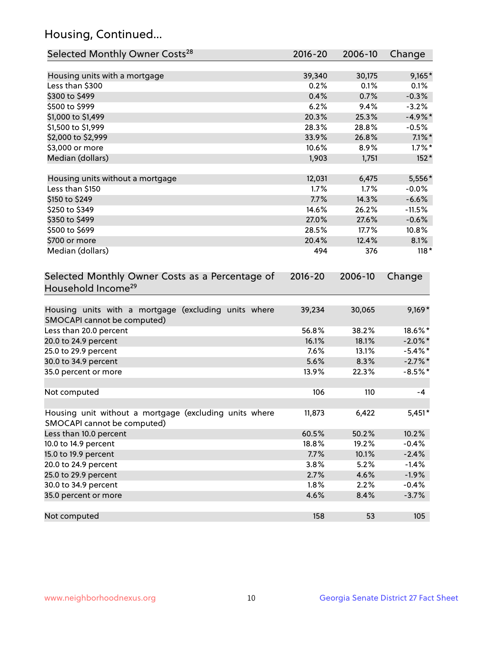## Housing, Continued...

| Selected Monthly Owner Costs <sup>28</sup>                                            | 2016-20     | 2006-10 | Change     |
|---------------------------------------------------------------------------------------|-------------|---------|------------|
| Housing units with a mortgage                                                         | 39,340      | 30,175  | $9,165*$   |
| Less than \$300                                                                       | 0.2%        | 0.1%    | 0.1%       |
| \$300 to \$499                                                                        | 0.4%        | 0.7%    | $-0.3%$    |
| \$500 to \$999                                                                        | 6.2%        | 9.4%    | $-3.2%$    |
| \$1,000 to \$1,499                                                                    | 20.3%       | 25.3%   | $-4.9%$ *  |
| \$1,500 to \$1,999                                                                    | 28.3%       | 28.8%   | $-0.5%$    |
| \$2,000 to \$2,999                                                                    | 33.9%       | 26.8%   | $7.1\%$ *  |
| \$3,000 or more                                                                       | 10.6%       | 8.9%    | $1.7\%$ *  |
| Median (dollars)                                                                      | 1,903       | 1,751   | $152*$     |
| Housing units without a mortgage                                                      | 12,031      | 6,475   | 5,556*     |
| Less than \$150                                                                       | 1.7%        | 1.7%    | $-0.0%$    |
| \$150 to \$249                                                                        | 7.7%        | 14.3%   | $-6.6%$    |
| \$250 to \$349                                                                        | 14.6%       | 26.2%   | $-11.5%$   |
| \$350 to \$499                                                                        | 27.0%       | 27.6%   | $-0.6%$    |
| \$500 to \$699                                                                        | 28.5%       | 17.7%   | 10.8%      |
| \$700 or more                                                                         | 20.4%       | 12.4%   | 8.1%       |
| Median (dollars)                                                                      | 494         | 376     | $118*$     |
| Selected Monthly Owner Costs as a Percentage of<br>Household Income <sup>29</sup>     | $2016 - 20$ | 2006-10 | Change     |
| Housing units with a mortgage (excluding units where<br>SMOCAPI cannot be computed)   | 39,234      | 30,065  | $9,169*$   |
| Less than 20.0 percent                                                                | 56.8%       | 38.2%   | 18.6%*     |
| 20.0 to 24.9 percent                                                                  | 16.1%       | 18.1%   | $-2.0\%$ * |
| 25.0 to 29.9 percent                                                                  | 7.6%        | 13.1%   | $-5.4\%$ * |
| 30.0 to 34.9 percent                                                                  | 5.6%        | 8.3%    | $-2.7\%$ * |
| 35.0 percent or more                                                                  | 13.9%       | 22.3%   | $-8.5%$ *  |
| Not computed                                                                          | 106         | 110     | $-4$       |
| Housing unit without a mortgage (excluding units where<br>SMOCAPI cannot be computed) | 11,873      | 6,422   | $5,451*$   |
| Less than 10.0 percent                                                                | 60.5%       | 50.2%   | 10.2%      |
| 10.0 to 14.9 percent                                                                  | 18.8%       | 19.2%   | $-0.4%$    |
| 15.0 to 19.9 percent                                                                  | 7.7%        | 10.1%   | $-2.4%$    |
| 20.0 to 24.9 percent                                                                  | 3.8%        | 5.2%    | $-1.4%$    |
| 25.0 to 29.9 percent                                                                  | 2.7%        | 4.6%    | $-1.9%$    |
| 30.0 to 34.9 percent                                                                  | 1.8%        | 2.2%    | $-0.4%$    |
| 35.0 percent or more                                                                  | 4.6%        | 8.4%    | $-3.7%$    |
| Not computed                                                                          | 158         | 53      | 105        |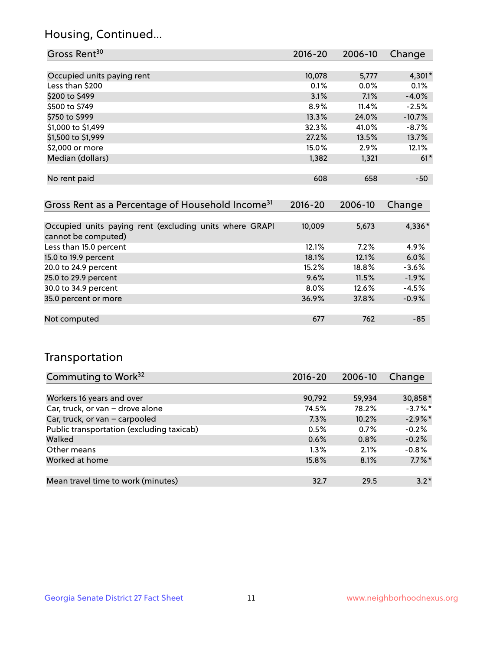## Housing, Continued...

| 2016-20 | 2006-10 | Change   |
|---------|---------|----------|
|         |         |          |
| 10,078  | 5,777   | $4,301*$ |
| 0.1%    | $0.0\%$ | 0.1%     |
| 3.1%    | 7.1%    | $-4.0\%$ |
| 8.9%    | 11.4%   | $-2.5%$  |
| 13.3%   | 24.0%   | $-10.7%$ |
| 32.3%   | 41.0%   | $-8.7%$  |
| 27.2%   | 13.5%   | 13.7%    |
| 15.0%   | 2.9%    | 12.1%    |
| 1,382   | 1,321   | $61*$    |
|         |         |          |
| 608     | 658     | $-50$    |
|         |         |          |

| Gross Rent as a Percentage of Household Income <sup>31</sup>                   | $2016 - 20$ | 2006-10 | Change  |
|--------------------------------------------------------------------------------|-------------|---------|---------|
|                                                                                |             |         |         |
| Occupied units paying rent (excluding units where GRAPI<br>cannot be computed) | 10,009      | 5,673   | 4,336*  |
| Less than 15.0 percent                                                         | 12.1%       | 7.2%    | 4.9%    |
| 15.0 to 19.9 percent                                                           | 18.1%       | 12.1%   | 6.0%    |
| 20.0 to 24.9 percent                                                           | 15.2%       | 18.8%   | $-3.6%$ |
| 25.0 to 29.9 percent                                                           | 9.6%        | 11.5%   | $-1.9%$ |
| 30.0 to 34.9 percent                                                           | $8.0\%$     | 12.6%   | $-4.5%$ |
| 35.0 percent or more                                                           | 36.9%       | 37.8%   | $-0.9%$ |
|                                                                                |             |         |         |
| Not computed                                                                   | 677         | 762     | $-85$   |

## Transportation

| Commuting to Work <sup>32</sup>           | 2016-20 | 2006-10 | Change     |
|-------------------------------------------|---------|---------|------------|
|                                           |         |         |            |
| Workers 16 years and over                 | 90,792  | 59,934  | 30,858*    |
| Car, truck, or van - drove alone          | 74.5%   | 78.2%   | $-3.7\%$ * |
| Car, truck, or van - carpooled            | 7.3%    | 10.2%   | $-2.9\%$ * |
| Public transportation (excluding taxicab) | 0.5%    | 0.7%    | $-0.2%$    |
| Walked                                    | 0.6%    | 0.8%    | $-0.2%$    |
| Other means                               | $1.3\%$ | 2.1%    | $-0.8%$    |
| Worked at home                            | 15.8%   | 8.1%    | $7.7\%$ *  |
|                                           |         |         |            |
| Mean travel time to work (minutes)        | 32.7    | 29.5    | $3.2*$     |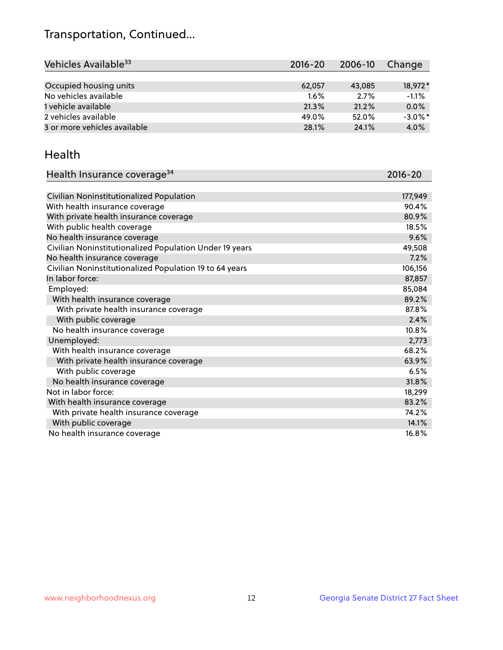## Transportation, Continued...

| Vehicles Available <sup>33</sup> | $2016 - 20$ | 2006-10 | Change     |
|----------------------------------|-------------|---------|------------|
|                                  |             |         |            |
| Occupied housing units           | 62,057      | 43,085  | 18.972*    |
| No vehicles available            | $1.6\%$     | 2.7%    | $-1.1%$    |
| 1 vehicle available              | 21.3%       | 21.2%   | 0.0%       |
| 2 vehicles available             | 49.0%       | 52.0%   | $-3.0\%$ * |
| 3 or more vehicles available     | 28.1%       | 24.1%   | 4.0%       |

#### Health

| Health Insurance coverage <sup>34</sup>                 | 2016-20 |
|---------------------------------------------------------|---------|
|                                                         |         |
| Civilian Noninstitutionalized Population                | 177,949 |
| With health insurance coverage                          | 90.4%   |
| With private health insurance coverage                  | 80.9%   |
| With public health coverage                             | 18.5%   |
| No health insurance coverage                            | 9.6%    |
| Civilian Noninstitutionalized Population Under 19 years | 49,508  |
| No health insurance coverage                            | 7.2%    |
| Civilian Noninstitutionalized Population 19 to 64 years | 106,156 |
| In labor force:                                         | 87,857  |
| Employed:                                               | 85,084  |
| With health insurance coverage                          | 89.2%   |
| With private health insurance coverage                  | 87.8%   |
| With public coverage                                    | 2.4%    |
| No health insurance coverage                            | 10.8%   |
| Unemployed:                                             | 2,773   |
| With health insurance coverage                          | 68.2%   |
| With private health insurance coverage                  | 63.9%   |
| With public coverage                                    | 6.5%    |
| No health insurance coverage                            | 31.8%   |
| Not in labor force:                                     | 18,299  |
| With health insurance coverage                          | 83.2%   |
| With private health insurance coverage                  | 74.2%   |
| With public coverage                                    | 14.1%   |
| No health insurance coverage                            | 16.8%   |